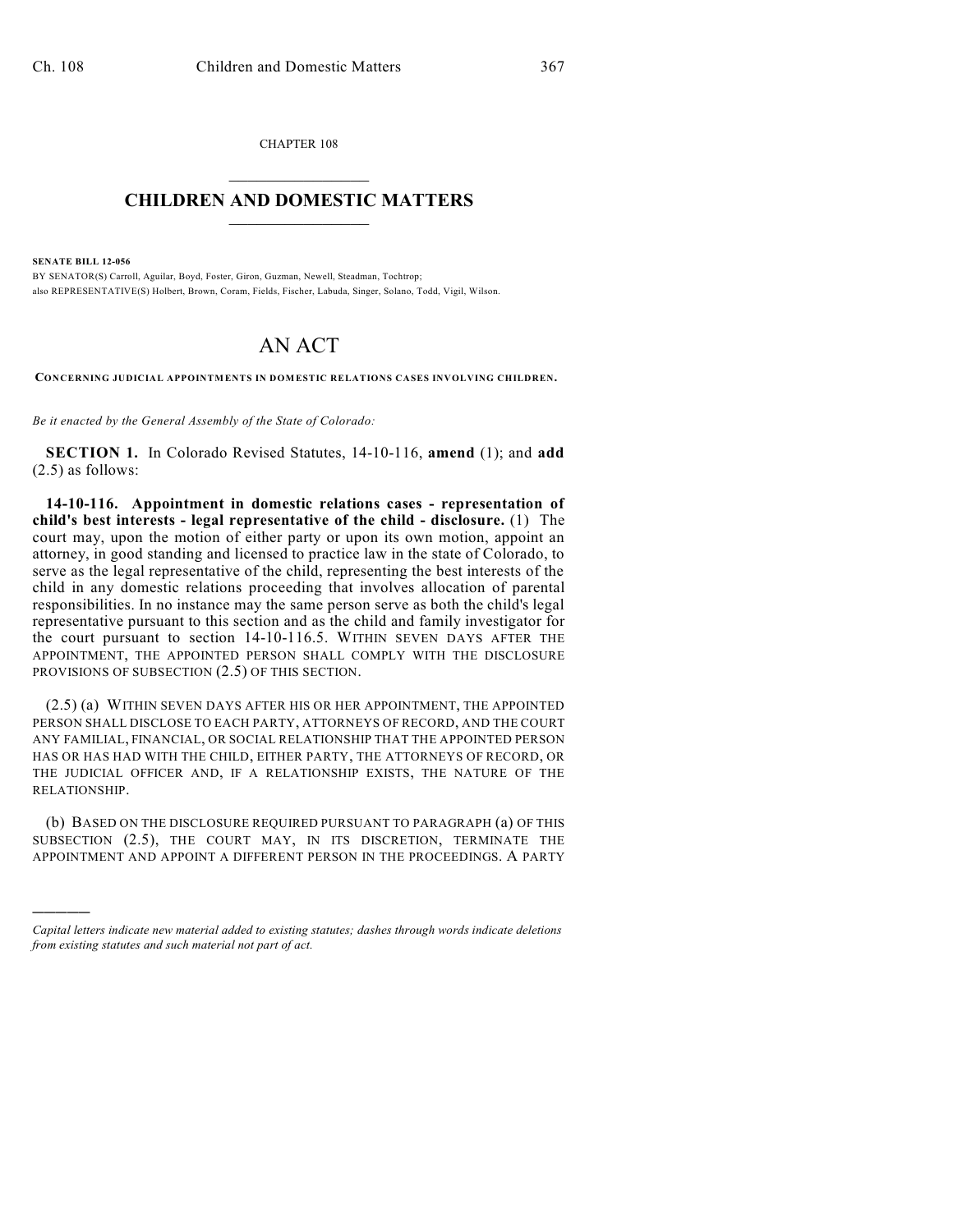CHAPTER 108  $\overline{\phantom{a}}$  . The set of the set of the set of the set of the set of the set of the set of the set of the set of the set of the set of the set of the set of the set of the set of the set of the set of the set of the set o

## **CHILDREN AND DOMESTIC MATTERS**  $\_$

**SENATE BILL 12-056**

)))))

BY SENATOR(S) Carroll, Aguilar, Boyd, Foster, Giron, Guzman, Newell, Steadman, Tochtrop; also REPRESENTATIVE(S) Holbert, Brown, Coram, Fields, Fischer, Labuda, Singer, Solano, Todd, Vigil, Wilson.

## AN ACT

**CONCERNING JUDICIAL APPOINTMENTS IN DOMESTIC RELATIONS CASES INVOLVING CHILDREN.**

*Be it enacted by the General Assembly of the State of Colorado:*

**SECTION 1.** In Colorado Revised Statutes, 14-10-116, **amend** (1); and **add** (2.5) as follows:

**14-10-116. Appointment in domestic relations cases - representation of child's best interests - legal representative of the child - disclosure.** (1) The court may, upon the motion of either party or upon its own motion, appoint an attorney, in good standing and licensed to practice law in the state of Colorado, to serve as the legal representative of the child, representing the best interests of the child in any domestic relations proceeding that involves allocation of parental responsibilities. In no instance may the same person serve as both the child's legal representative pursuant to this section and as the child and family investigator for the court pursuant to section 14-10-116.5. WITHIN SEVEN DAYS AFTER THE APPOINTMENT, THE APPOINTED PERSON SHALL COMPLY WITH THE DISCLOSURE PROVISIONS OF SUBSECTION (2.5) OF THIS SECTION.

(2.5) (a) WITHIN SEVEN DAYS AFTER HIS OR HER APPOINTMENT, THE APPOINTED PERSON SHALL DISCLOSE TO EACH PARTY, ATTORNEYS OF RECORD, AND THE COURT ANY FAMILIAL, FINANCIAL, OR SOCIAL RELATIONSHIP THAT THE APPOINTED PERSON HAS OR HAS HAD WITH THE CHILD, EITHER PARTY, THE ATTORNEYS OF RECORD, OR THE JUDICIAL OFFICER AND, IF A RELATIONSHIP EXISTS, THE NATURE OF THE RELATIONSHIP.

(b) BASED ON THE DISCLOSURE REQUIRED PURSUANT TO PARAGRAPH (a) OF THIS SUBSECTION (2.5), THE COURT MAY, IN ITS DISCRETION, TERMINATE THE APPOINTMENT AND APPOINT A DIFFERENT PERSON IN THE PROCEEDINGS. A PARTY

*Capital letters indicate new material added to existing statutes; dashes through words indicate deletions from existing statutes and such material not part of act.*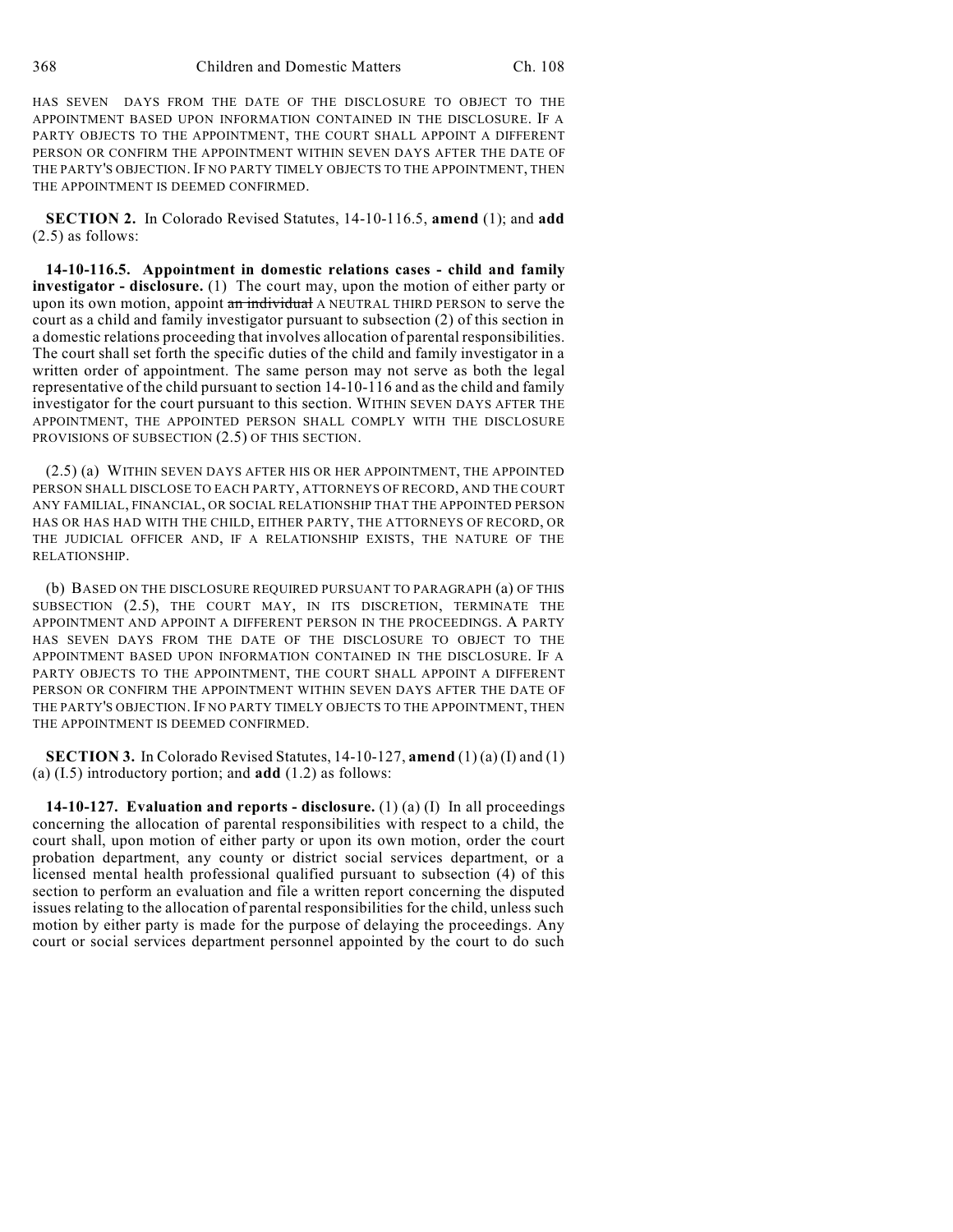HAS SEVEN DAYS FROM THE DATE OF THE DISCLOSURE TO OBJECT TO THE APPOINTMENT BASED UPON INFORMATION CONTAINED IN THE DISCLOSURE. IF A PARTY OBJECTS TO THE APPOINTMENT, THE COURT SHALL APPOINT A DIFFERENT PERSON OR CONFIRM THE APPOINTMENT WITHIN SEVEN DAYS AFTER THE DATE OF THE PARTY'S OBJECTION. IF NO PARTY TIMELY OBJECTS TO THE APPOINTMENT, THEN THE APPOINTMENT IS DEEMED CONFIRMED.

**SECTION 2.** In Colorado Revised Statutes, 14-10-116.5, **amend** (1); and **add** (2.5) as follows:

**14-10-116.5. Appointment in domestic relations cases - child and family investigator - disclosure.** (1) The court may, upon the motion of either party or upon its own motion, appoint an individual A NEUTRAL THIRD PERSON to serve the court as a child and family investigator pursuant to subsection (2) of this section in a domestic relations proceeding that involves allocation of parental responsibilities. The court shall set forth the specific duties of the child and family investigator in a written order of appointment. The same person may not serve as both the legal representative of the child pursuant to section 14-10-116 and as the child and family investigator for the court pursuant to this section. WITHIN SEVEN DAYS AFTER THE APPOINTMENT, THE APPOINTED PERSON SHALL COMPLY WITH THE DISCLOSURE PROVISIONS OF SUBSECTION (2.5) OF THIS SECTION.

(2.5) (a) WITHIN SEVEN DAYS AFTER HIS OR HER APPOINTMENT, THE APPOINTED PERSON SHALL DISCLOSE TO EACH PARTY, ATTORNEYS OF RECORD, AND THE COURT ANY FAMILIAL, FINANCIAL, OR SOCIAL RELATIONSHIP THAT THE APPOINTED PERSON HAS OR HAS HAD WITH THE CHILD, EITHER PARTY, THE ATTORNEYS OF RECORD, OR THE JUDICIAL OFFICER AND, IF A RELATIONSHIP EXISTS, THE NATURE OF THE RELATIONSHIP.

(b) BASED ON THE DISCLOSURE REQUIRED PURSUANT TO PARAGRAPH (a) OF THIS SUBSECTION (2.5), THE COURT MAY, IN ITS DISCRETION, TERMINATE THE APPOINTMENT AND APPOINT A DIFFERENT PERSON IN THE PROCEEDINGS. A PARTY HAS SEVEN DAYS FROM THE DATE OF THE DISCLOSURE TO OBJECT TO THE APPOINTMENT BASED UPON INFORMATION CONTAINED IN THE DISCLOSURE. IF A PARTY OBJECTS TO THE APPOINTMENT, THE COURT SHALL APPOINT A DIFFERENT PERSON OR CONFIRM THE APPOINTMENT WITHIN SEVEN DAYS AFTER THE DATE OF THE PARTY'S OBJECTION. IF NO PARTY TIMELY OBJECTS TO THE APPOINTMENT, THEN THE APPOINTMENT IS DEEMED CONFIRMED.

**SECTION 3.** In Colorado Revised Statutes, 14-10-127, **amend** (1) (a) (I) and (1) (a) (I.5) introductory portion; and **add** (1.2) as follows:

**14-10-127. Evaluation and reports - disclosure.** (1) (a) (I) In all proceedings concerning the allocation of parental responsibilities with respect to a child, the court shall, upon motion of either party or upon its own motion, order the court probation department, any county or district social services department, or a licensed mental health professional qualified pursuant to subsection (4) of this section to perform an evaluation and file a written report concerning the disputed issues relating to the allocation of parental responsibilities for the child, unless such motion by either party is made for the purpose of delaying the proceedings. Any court or social services department personnel appointed by the court to do such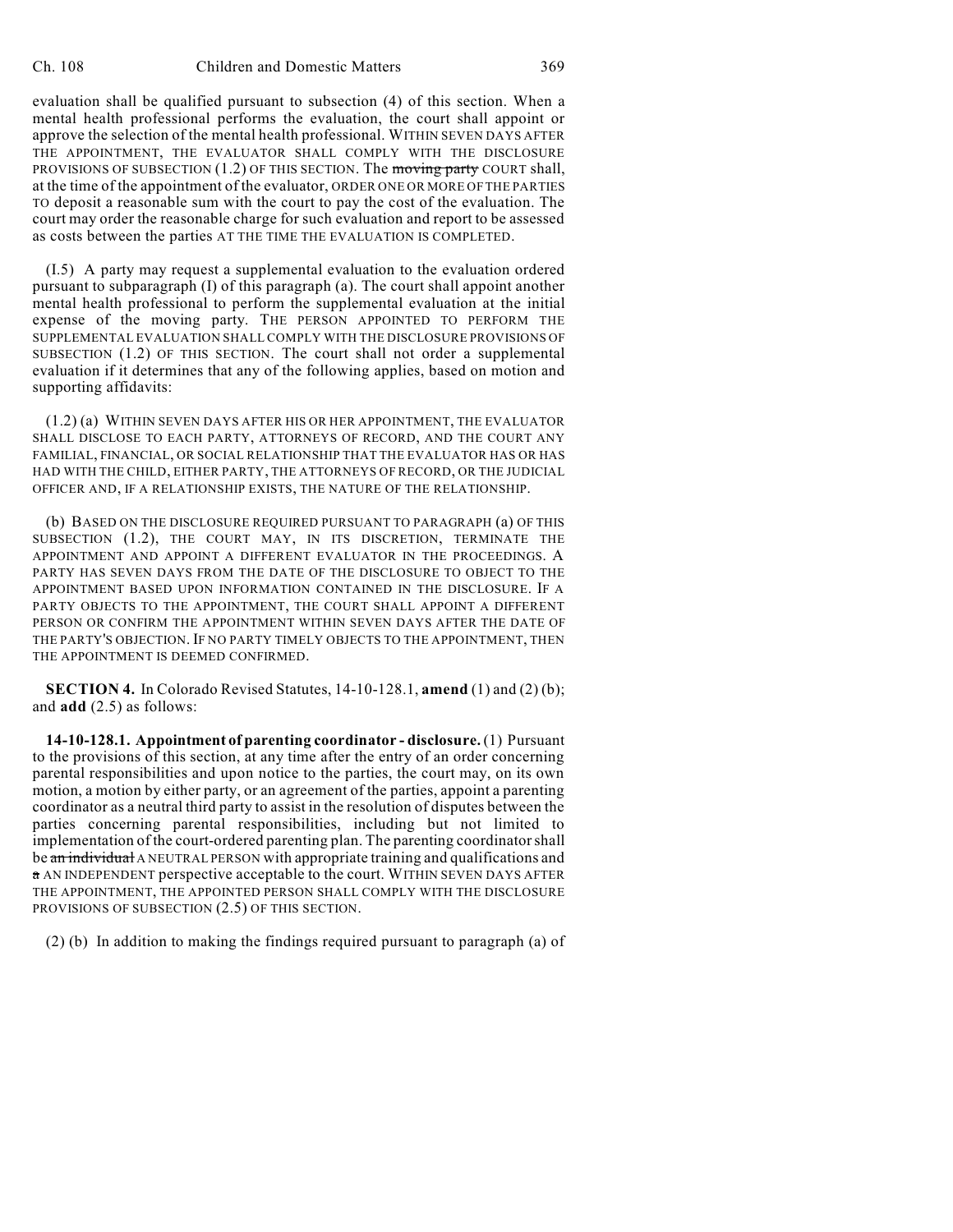evaluation shall be qualified pursuant to subsection (4) of this section. When a mental health professional performs the evaluation, the court shall appoint or approve the selection of the mental health professional. WITHIN SEVEN DAYS AFTER THE APPOINTMENT, THE EVALUATOR SHALL COMPLY WITH THE DISCLOSURE PROVISIONS OF SUBSECTION  $(1.2)$  OF THIS SECTION. The moving party COURT shall, at the time of the appointment of the evaluator, ORDER ONE OR MORE OF THE PARTIES TO deposit a reasonable sum with the court to pay the cost of the evaluation. The court may order the reasonable charge for such evaluation and report to be assessed as costs between the parties AT THE TIME THE EVALUATION IS COMPLETED.

(I.5) A party may request a supplemental evaluation to the evaluation ordered pursuant to subparagraph (I) of this paragraph (a). The court shall appoint another mental health professional to perform the supplemental evaluation at the initial expense of the moving party. THE PERSON APPOINTED TO PERFORM THE SUPPLEMENTAL EVALUATION SHALL COMPLY WITH THE DISCLOSURE PROVISIONS OF SUBSECTION (1.2) OF THIS SECTION. The court shall not order a supplemental evaluation if it determines that any of the following applies, based on motion and supporting affidavits:

(1.2) (a) WITHIN SEVEN DAYS AFTER HIS OR HER APPOINTMENT, THE EVALUATOR SHALL DISCLOSE TO EACH PARTY, ATTORNEYS OF RECORD, AND THE COURT ANY FAMILIAL, FINANCIAL, OR SOCIAL RELATIONSHIP THAT THE EVALUATOR HAS OR HAS HAD WITH THE CHILD, EITHER PARTY, THE ATTORNEYS OF RECORD, OR THE JUDICIAL OFFICER AND, IF A RELATIONSHIP EXISTS, THE NATURE OF THE RELATIONSHIP.

(b) BASED ON THE DISCLOSURE REQUIRED PURSUANT TO PARAGRAPH (a) OF THIS SUBSECTION (1.2), THE COURT MAY, IN ITS DISCRETION, TERMINATE THE APPOINTMENT AND APPOINT A DIFFERENT EVALUATOR IN THE PROCEEDINGS. A PARTY HAS SEVEN DAYS FROM THE DATE OF THE DISCLOSURE TO OBJECT TO THE APPOINTMENT BASED UPON INFORMATION CONTAINED IN THE DISCLOSURE. IF A PARTY OBJECTS TO THE APPOINTMENT, THE COURT SHALL APPOINT A DIFFERENT PERSON OR CONFIRM THE APPOINTMENT WITHIN SEVEN DAYS AFTER THE DATE OF THE PARTY'S OBJECTION. IF NO PARTY TIMELY OBJECTS TO THE APPOINTMENT, THEN THE APPOINTMENT IS DEEMED CONFIRMED.

**SECTION 4.** In Colorado Revised Statutes, 14-10-128.1, **amend** (1) and (2) (b); and **add** (2.5) as follows:

**14-10-128.1. Appointment of parenting coordinator - disclosure.** (1) Pursuant to the provisions of this section, at any time after the entry of an order concerning parental responsibilities and upon notice to the parties, the court may, on its own motion, a motion by either party, or an agreement of the parties, appoint a parenting coordinator as a neutral third party to assist in the resolution of disputes between the parties concerning parental responsibilities, including but not limited to implementation of the court-ordered parenting plan. The parenting coordinatorshall be an individual A NEUTRAL PERSON with appropriate training and qualifications and a AN INDEPENDENT perspective acceptable to the court. WITHIN SEVEN DAYS AFTER THE APPOINTMENT, THE APPOINTED PERSON SHALL COMPLY WITH THE DISCLOSURE PROVISIONS OF SUBSECTION (2.5) OF THIS SECTION.

(2) (b) In addition to making the findings required pursuant to paragraph (a) of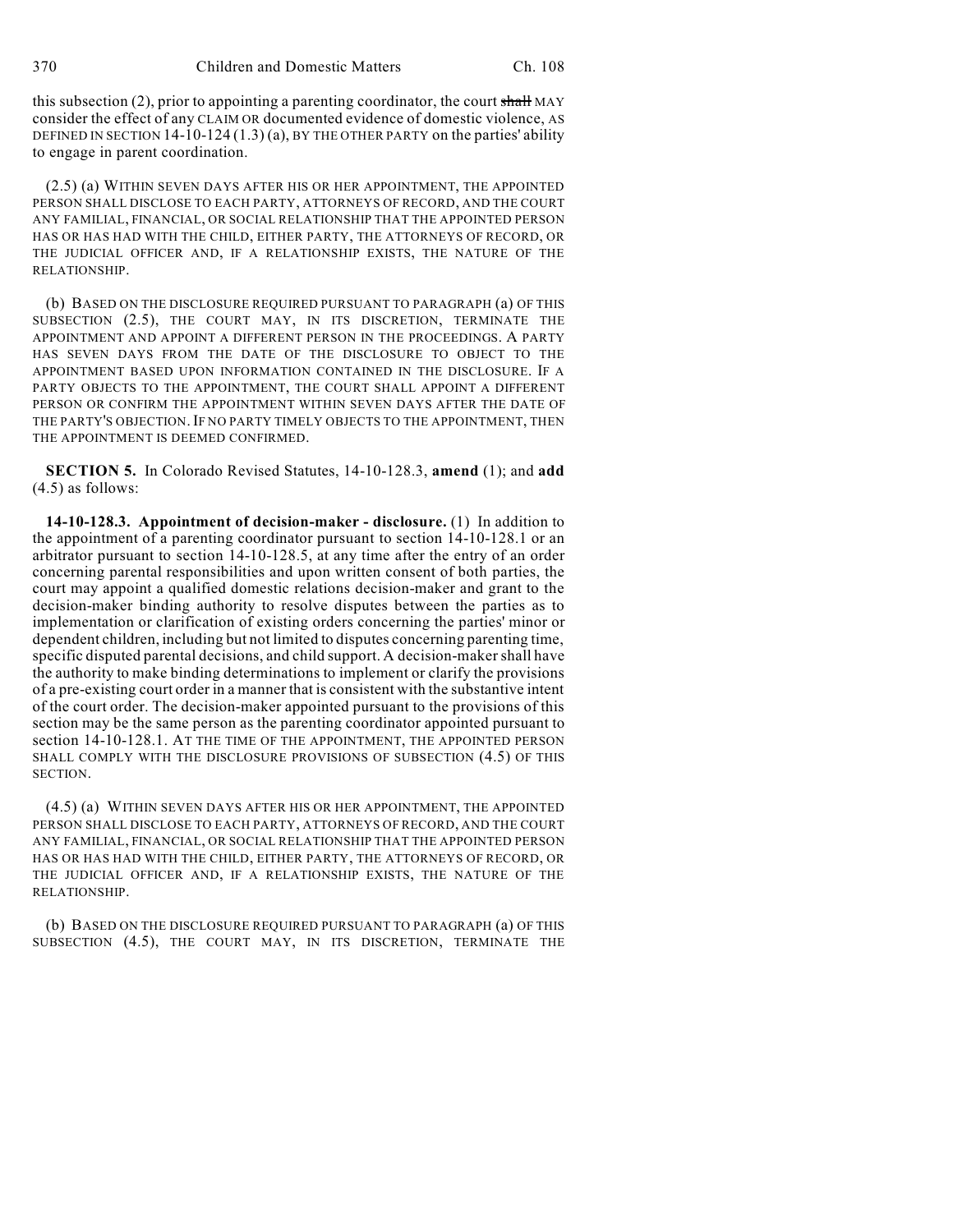this subsection (2), prior to appointing a parenting coordinator, the court shall MAY consider the effect of any CLAIM OR documented evidence of domestic violence, AS DEFINED IN SECTION 14-10-124 (1.3) (a), BY THE OTHER PARTY on the parties' ability to engage in parent coordination.

(2.5) (a) WITHIN SEVEN DAYS AFTER HIS OR HER APPOINTMENT, THE APPOINTED PERSON SHALL DISCLOSE TO EACH PARTY, ATTORNEYS OF RECORD, AND THE COURT ANY FAMILIAL, FINANCIAL, OR SOCIAL RELATIONSHIP THAT THE APPOINTED PERSON HAS OR HAS HAD WITH THE CHILD, EITHER PARTY, THE ATTORNEYS OF RECORD, OR THE JUDICIAL OFFICER AND, IF A RELATIONSHIP EXISTS, THE NATURE OF THE RELATIONSHIP.

(b) BASED ON THE DISCLOSURE REQUIRED PURSUANT TO PARAGRAPH (a) OF THIS SUBSECTION (2.5), THE COURT MAY, IN ITS DISCRETION, TERMINATE THE APPOINTMENT AND APPOINT A DIFFERENT PERSON IN THE PROCEEDINGS. A PARTY HAS SEVEN DAYS FROM THE DATE OF THE DISCLOSURE TO OBJECT TO THE APPOINTMENT BASED UPON INFORMATION CONTAINED IN THE DISCLOSURE. IF A PARTY OBJECTS TO THE APPOINTMENT, THE COURT SHALL APPOINT A DIFFERENT PERSON OR CONFIRM THE APPOINTMENT WITHIN SEVEN DAYS AFTER THE DATE OF THE PARTY'S OBJECTION. IF NO PARTY TIMELY OBJECTS TO THE APPOINTMENT, THEN THE APPOINTMENT IS DEEMED CONFIRMED.

**SECTION 5.** In Colorado Revised Statutes, 14-10-128.3, **amend** (1); and **add** (4.5) as follows:

**14-10-128.3. Appointment of decision-maker - disclosure.** (1) In addition to the appointment of a parenting coordinator pursuant to section 14-10-128.1 or an arbitrator pursuant to section 14-10-128.5, at any time after the entry of an order concerning parental responsibilities and upon written consent of both parties, the court may appoint a qualified domestic relations decision-maker and grant to the decision-maker binding authority to resolve disputes between the parties as to implementation or clarification of existing orders concerning the parties' minor or dependent children, including but not limited to disputes concerning parenting time, specific disputed parental decisions, and child support. A decision-makershall have the authority to make binding determinations to implement or clarify the provisions of a pre-existing court order in a manner that is consistent with the substantive intent of the court order. The decision-maker appointed pursuant to the provisions of this section may be the same person as the parenting coordinator appointed pursuant to section 14-10-128.1. AT THE TIME OF THE APPOINTMENT, THE APPOINTED PERSON SHALL COMPLY WITH THE DISCLOSURE PROVISIONS OF SUBSECTION (4.5) OF THIS SECTION.

(4.5) (a) WITHIN SEVEN DAYS AFTER HIS OR HER APPOINTMENT, THE APPOINTED PERSON SHALL DISCLOSE TO EACH PARTY, ATTORNEYS OF RECORD, AND THE COURT ANY FAMILIAL, FINANCIAL, OR SOCIAL RELATIONSHIP THAT THE APPOINTED PERSON HAS OR HAS HAD WITH THE CHILD, EITHER PARTY, THE ATTORNEYS OF RECORD, OR THE JUDICIAL OFFICER AND, IF A RELATIONSHIP EXISTS, THE NATURE OF THE RELATIONSHIP.

(b) BASED ON THE DISCLOSURE REQUIRED PURSUANT TO PARAGRAPH (a) OF THIS SUBSECTION (4.5), THE COURT MAY, IN ITS DISCRETION, TERMINATE THE